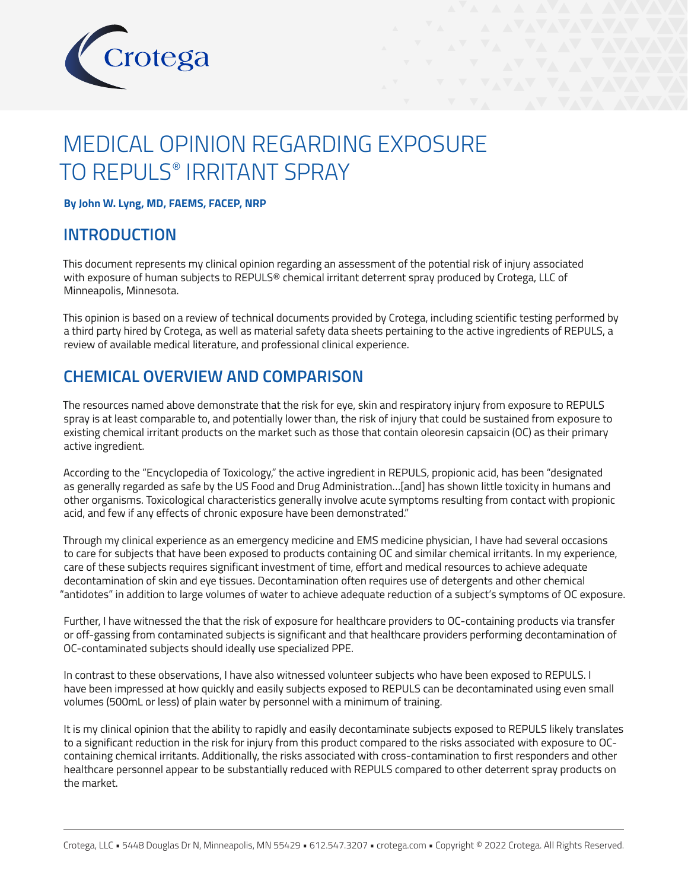

# MEDICAL OPINION REGARDING EXPOSURE TO REPULS® IRRITANT SPRAY

**By John W. Lyng, MD, FAEMS, FACEP, NRP**

### **INTRODUCTION**

This document represents my clinical opinion regarding an assessment of the potential risk of injury associated with exposure of human subjects to REPULS® chemical irritant deterrent spray produced by Crotega, LLC of Minneapolis, Minnesota.

This opinion is based on a review of technical documents provided by Crotega, including scientific testing performed by a third party hired by Crotega, as well as material safety data sheets pertaining to the active ingredients of REPULS, a review of available medical literature, and professional clinical experience.

### **CHEMICAL OVERVIEW AND COMPARISON**

The resources named above demonstrate that the risk for eye, skin and respiratory injury from exposure to REPULS spray is at least comparable to, and potentially lower than, the risk of injury that could be sustained from exposure to existing chemical irritant products on the market such as those that contain oleoresin capsaicin (OC) as their primary active ingredient.

According to the "Encyclopedia of Toxicology," the active ingredient in REPULS, propionic acid, has been "designated as generally regarded as safe by the US Food and Drug Administration…[and] has shown little toxicity in humans and other organisms. Toxicological characteristics generally involve acute symptoms resulting from contact with propionic acid, and few if any effects of chronic exposure have been demonstrated."

Through my clinical experience as an emergency medicine and EMS medicine physician, I have had several occasions to care for subjects that have been exposed to products containing OC and similar chemical irritants. In my experience, care of these subjects requires significant investment of time, effort and medical resources to achieve adequate decontamination of skin and eye tissues. Decontamination often requires use of detergents and other chemical "antidotes" in addition to large volumes of water to achieve adequate reduction of a subject's symptoms of OC exposure.

Further, I have witnessed the that the risk of exposure for healthcare providers to OC-containing products via transfer or off-gassing from contaminated subjects is significant and that healthcare providers performing decontamination of OC-contaminated subjects should ideally use specialized PPE.

In contrast to these observations, I have also witnessed volunteer subjects who have been exposed to REPULS. I have been impressed at how quickly and easily subjects exposed to REPULS can be decontaminated using even small volumes (500mL or less) of plain water by personnel with a minimum of training.

It is my clinical opinion that the ability to rapidly and easily decontaminate subjects exposed to REPULS likely translates to a significant reduction in the risk for injury from this product compared to the risks associated with exposure to OCcontaining chemical irritants. Additionally, the risks associated with cross-contamination to first responders and other healthcare personnel appear to be substantially reduced with REPULS compared to other deterrent spray products on the market.